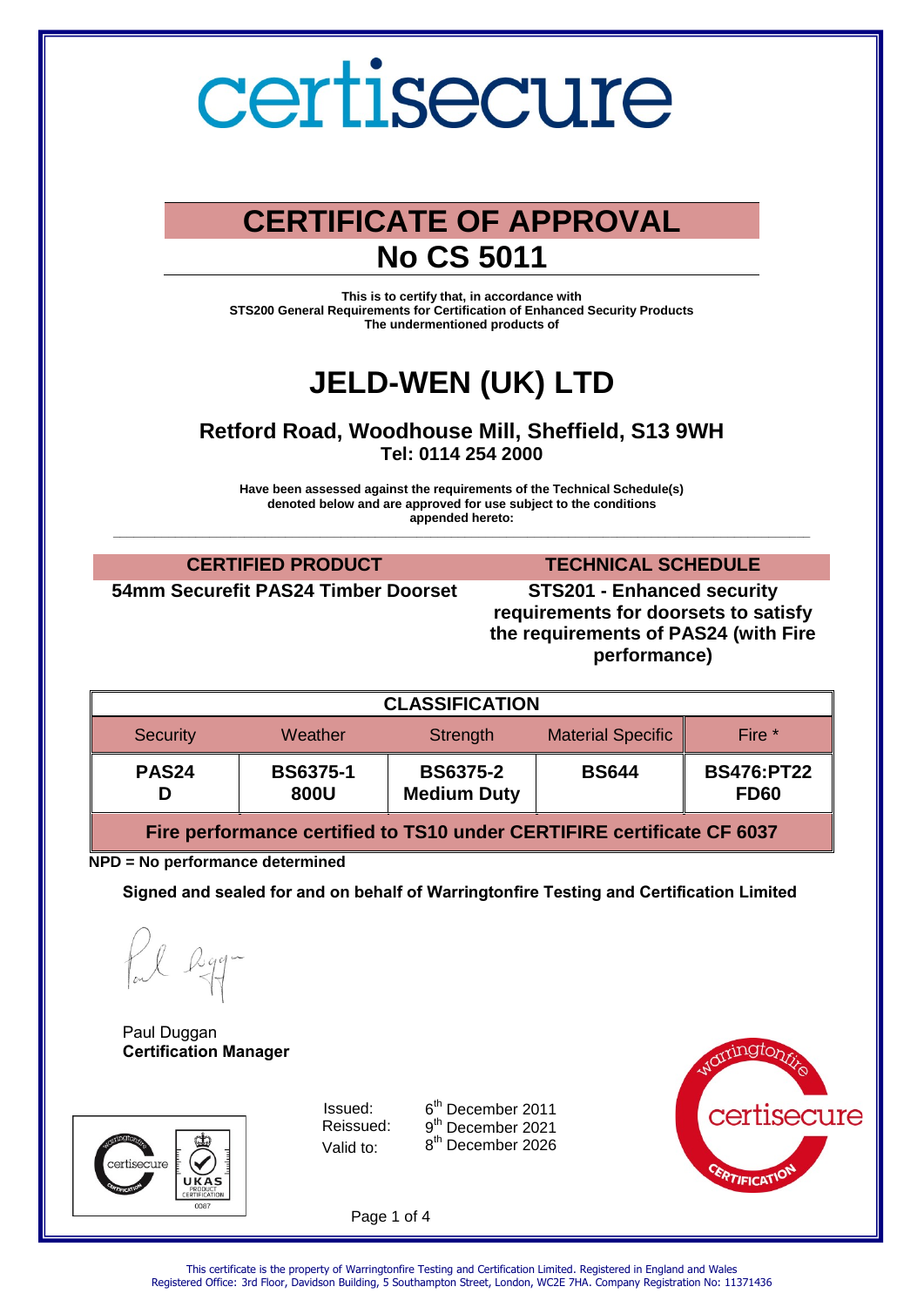

### **CERTIFICATE OF APPROVAL No CS 5011**

**This is to certify that, in accordance with STS200 General Requirements for Certification of Enhanced Security Products The undermentioned products of** 

## **JELD-WEN (UK) LTD**

**Retford Road, Woodhouse Mill, Sheffield, S13 9WH Tel: 0114 254 2000** 

**Have been assessed against the requirements of the Technical Schedule(s) denoted below and are approved for use subject to the conditions appended hereto: \_\_\_\_\_\_\_\_\_\_\_\_\_\_\_\_\_\_\_\_\_\_\_\_\_\_\_\_\_\_\_\_\_\_\_\_\_\_\_\_\_\_\_\_\_\_\_\_\_\_\_\_\_\_\_\_\_\_\_\_\_\_\_\_\_\_\_\_\_\_\_\_\_\_\_\_\_\_\_\_\_\_\_\_\_\_\_\_\_\_\_\_\_\_\_\_\_\_\_\_\_**

**54mm Securefit PAS24 Timber Doorset STS201 - Enhanced security** 

**CERTIFIED PRODUCT TECHNICAL SCHEDULE**

**requirements for doorsets to satisfy the requirements of PAS24 (with Fire performance)**

| <b>CLASSIFICATION</b> |                         |                                       |                          |                                  |  |  |
|-----------------------|-------------------------|---------------------------------------|--------------------------|----------------------------------|--|--|
| <b>Security</b>       | Weather                 | Strength                              | <b>Material Specific</b> | Fire *                           |  |  |
| PAS <sub>24</sub>     | <b>BS6375-1</b><br>800U | <b>BS6375-2</b><br><b>Medium Duty</b> | <b>BS644</b>             | <b>BS476:PT22</b><br><b>FD60</b> |  |  |

**Fire performance certified to TS10 under CERTIFIRE certificate CF 6037**

**NPD = No performance determined** 

**Signed and sealed for and on behalf of Warringtonfire Testing and Certification Limited**

Paul Duggan **Certification Manager**



Issued: 6 Reissued: Valid to:

6<sup>th</sup> December 2011 9<sup>th</sup> December 2021 8<sup>th</sup> December 2026



Page 1 of 4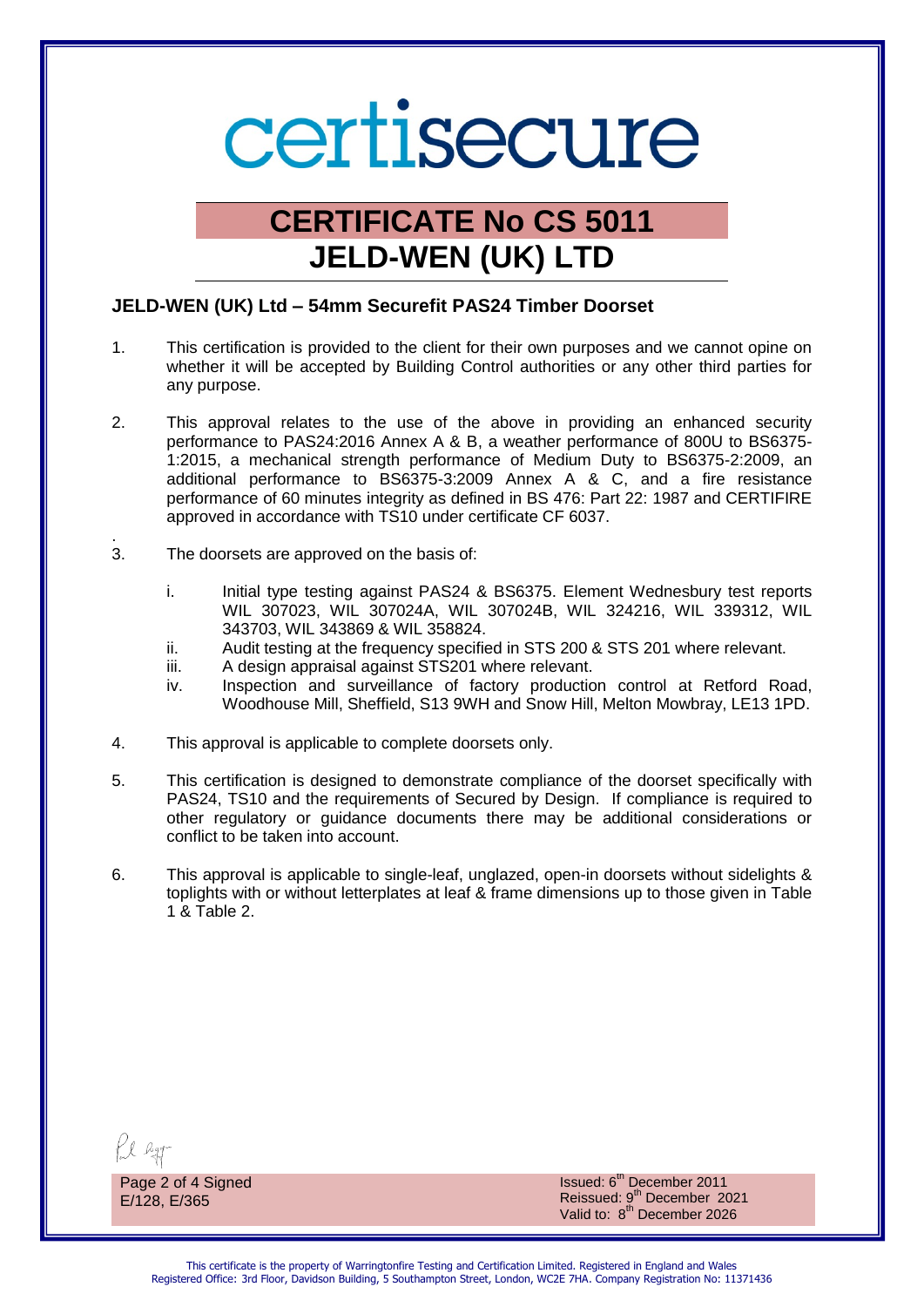# certisecure

## **CERTIFICATE No CS 5011 JELD-WEN (UK) LTD**

#### **JELD-WEN (UK) Ltd – 54mm Securefit PAS24 Timber Doorset**

- 1. This certification is provided to the client for their own purposes and we cannot opine on whether it will be accepted by Building Control authorities or any other third parties for any purpose.
- 2. This approval relates to the use of the above in providing an enhanced security performance to PAS24:2016 Annex A & B, a weather performance of 800U to BS6375- 1:2015, a mechanical strength performance of Medium Duty to BS6375-2:2009, an additional performance to BS6375-3:2009 Annex A & C, and a fire resistance performance of 60 minutes integrity as defined in BS 476: Part 22: 1987 and CERTIFIRE approved in accordance with TS10 under certificate CF 6037.
- . 3. The doorsets are approved on the basis of:
	- i. Initial type testing against PAS24 & BS6375. Element Wednesbury test reports WIL 307023, WIL 307024A, WIL 307024B, WIL 324216, WIL 339312, WIL 343703, WIL 343869 & WIL 358824.
	- ii. Audit testing at the frequency specified in STS 200 & STS 201 where relevant.
	- iii. A design appraisal against STS201 where relevant.
	- iv. Inspection and surveillance of factory production control at Retford Road, Woodhouse Mill, Sheffield, S13 9WH and Snow Hill, Melton Mowbray, LE13 1PD.
- 4. This approval is applicable to complete doorsets only.
- 5. This certification is designed to demonstrate compliance of the doorset specifically with PAS24, TS10 and the requirements of Secured by Design. If compliance is required to other regulatory or guidance documents there may be additional considerations or conflict to be taken into account.
- 6. This approval is applicable to single-leaf, unglazed, open-in doorsets without sidelights & toplights with or without letterplates at leaf & frame dimensions up to those given in Table 1 & Table 2.

Page 2 of 4 Signed E/128, E/365

Issued: 6<sup>th</sup> December 2011 Reissued: 9<sup>th</sup> December 2021 Valid to: 8<sup>th</sup> December 2026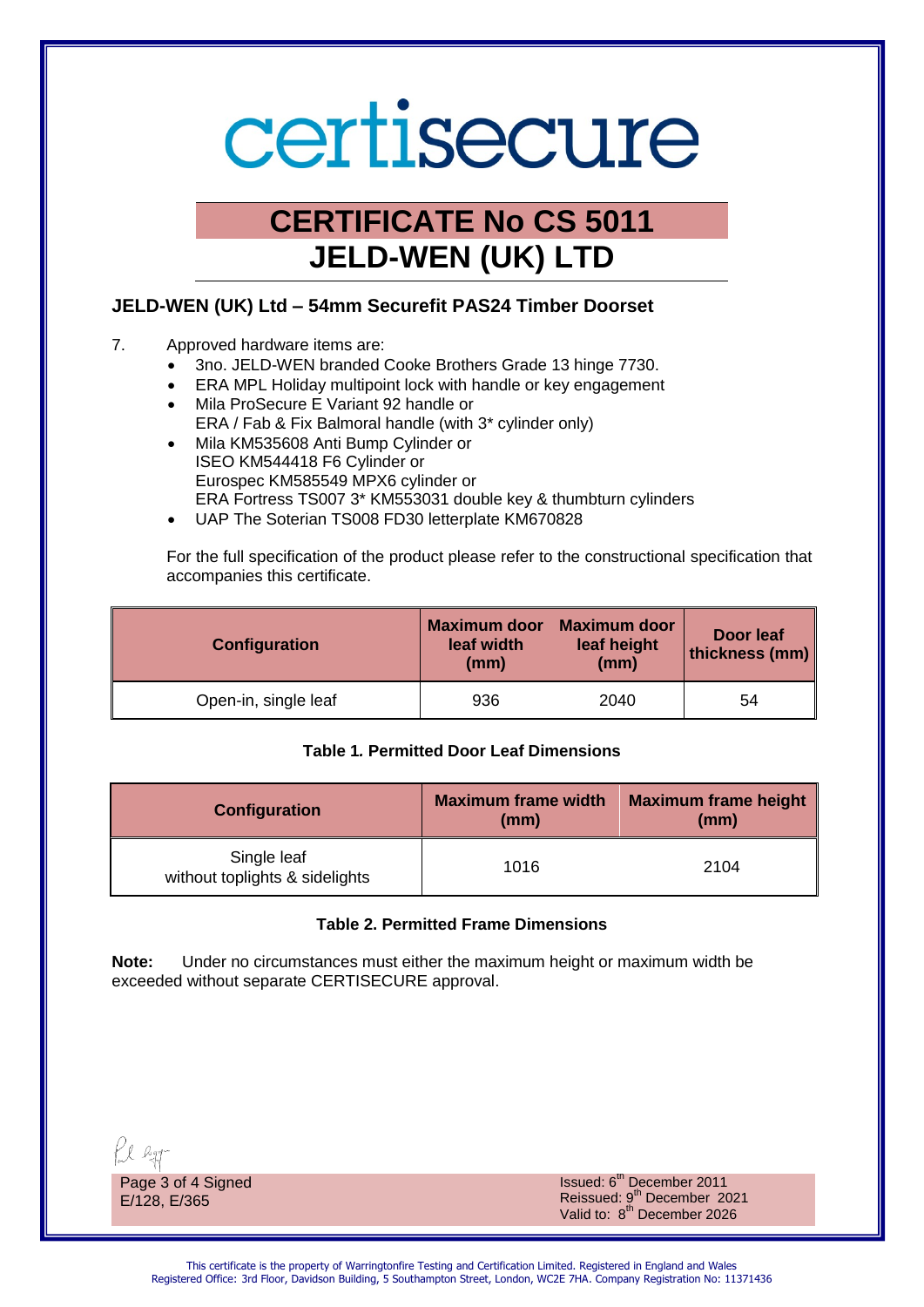# certisecure

## **CERTIFICATE No CS 5011 JELD-WEN (UK) LTD**

### **JELD-WEN (UK) Ltd – 54mm Securefit PAS24 Timber Doorset**

- 7. Approved hardware items are:
	- 3no. JELD-WEN branded Cooke Brothers Grade 13 hinge 7730.
	- ERA MPL Holiday multipoint lock with handle or key engagement Mila ProSecure E Variant 92 handle or
	- ERA / Fab & Fix Balmoral handle (with 3\* cylinder only)
	- Mila KM535608 Anti Bump Cylinder or ISEO KM544418 F6 Cylinder or Eurospec KM585549 MPX6 cylinder or ERA Fortress TS007 3\* KM553031 double key & thumbturn cylinders
	- UAP The Soterian TS008 FD30 letterplate KM670828

For the full specification of the product please refer to the constructional specification that accompanies this certificate.

| Configuration        | <b>Maximum door</b><br>leaf width<br>(mm) | <b>Maximum door</b><br>leaf height<br>(mm) | <b>Door leaf</b><br>thickness (mm) |
|----------------------|-------------------------------------------|--------------------------------------------|------------------------------------|
| Open-in, single leaf | 936                                       | 2040                                       | 54                                 |

### **Table 1***.* **Permitted Door Leaf Dimensions**

| <b>Configuration</b>                          | <b>Maximum frame width</b><br>(mm) | <b>Maximum frame height</b><br>(mm) |
|-----------------------------------------------|------------------------------------|-------------------------------------|
| Single leaf<br>without toplights & sidelights | 1016                               | 2104                                |

### **Table 2. Permitted Frame Dimensions**

**Note:** Under no circumstances must either the maximum height or maximum width be exceeded without separate CERTISECURE approval.

Page 3 of 4 Signed E/128, E/365

Issued: 6<sup>th</sup> December 2011 Reissued: 9<sup>th</sup> December 2021 Valid to: 8<sup>th</sup> December 2026